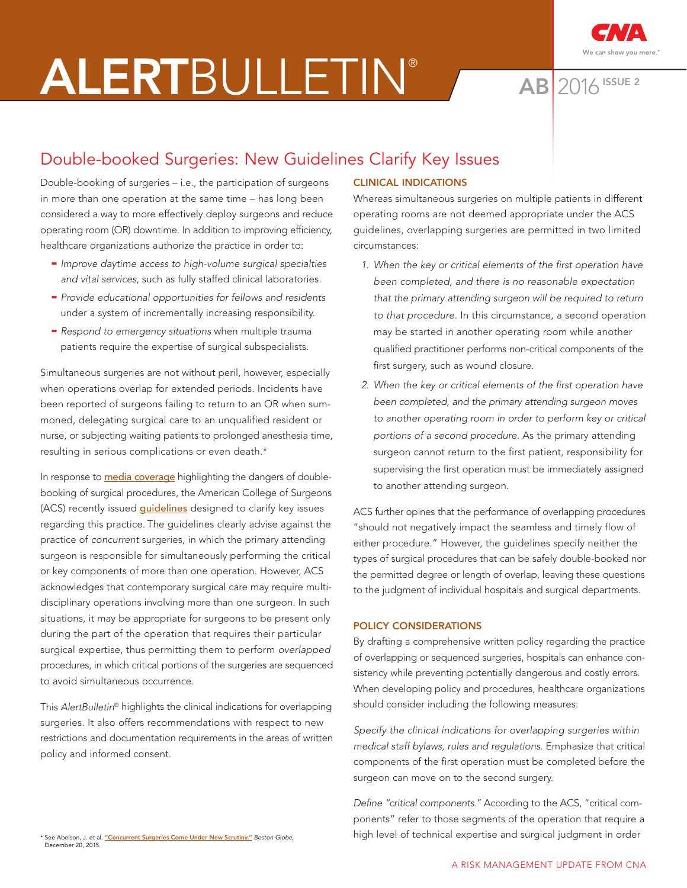# ALERTBULLETIN® AB 2016



**AB** 2016 ISSUE 2

## Double-booked Surgeries: New Guidelines Clarify Key Issues

Double-booking of surgeries – i.e., the participation of surgeons in more than one operation at the same time – has long been considered a way to more effectively deploy surgeons and reduce operating room (OR) downtime. In addition to improving efficiency, healthcare organizations authorize the practice in order to:

- Improve daytime access to high-volume surgical specialties and vital services, such as fully staffed clinical laboratories.
- Provide educational opportunities for fellows and residents under a system of incrementally increasing responsibility.
- $-$  Respond to emergency situations when multiple trauma patients require the expertise of surgical subspecialists.

Simultaneous surgeries are not without peril, however, especially when operations overlap for extended periods. Incidents have been reported of surgeons failing to return to an OR when summoned, delegating surgical care to an unqualified resident or nurse, or subjecting waiting patients to prolonged anesthesia time, resulting in serious complications or even death.\*

In response to [media coverage](https://apps.bostonglobe.com/spotlight/clash-in-the-name-of-care/story/) highlighting the dangers of doublebooking of surgical procedures, the American College of Surgeons (ACS) recently issued **quidelines** designed to clarify key issues regarding this practice. The guidelines clearly advise against the practice of concurrent surgeries, in which the primary attending surgeon is responsible for simultaneously performing the critical or key components of more than one operation. However, ACS acknowledges that contemporary surgical care may require multidisciplinary operations involving more than one surgeon. In such situations, it may be appropriate for surgeons to be present only during the part of the operation that requires their particular surgical expertise, thus permitting them to perform overlapped procedures, in which critical portions of the surgeries are sequenced to avoid simultaneous occurrence.

This AlertBulletin® highlights the clinical indications for overlapping surgeries. It also offers recommendations with respect to new restrictions and documentation requirements in the areas of written policy and informed consent.

### CLINICAL INDICATIONS

Whereas simultaneous surgeries on multiple patients in different operating rooms are not deemed appropriate under the ACS guidelines, overlapping surgeries are permitted in two limited circumstances:

- 1. When the key or critical elements of the first operation have been completed, and there is no reasonable expectation that the primary attending surgeon will be required to return to that procedure. In this circumstance, a second operation may be started in another operating room while another qualified practitioner performs non-critical components of the first surgery, such as wound closure.
- 2. When the key or critical elements of the first operation have been completed, and the primary attending surgeon moves to another operating room in order to perform key or critical portions of a second procedure. As the primary attending surgeon cannot return to the first patient, responsibility for supervising the first operation must be immediately assigned to another attending surgeon.

ACS further opines that the performance of overlapping procedures "should not negatively impact the seamless and timely flow of either procedure." However, the guidelines specify neither the types of surgical procedures that can be safely double-booked nor the permitted degree or length of overlap, leaving these questions to the judgment of individual hospitals and surgical departments.

#### POLICY CONSIDERATIONS

By drafting a comprehensive written policy regarding the practice of overlapping or sequenced surgeries, hospitals can enhance consistency while preventing potentially dangerous and costly errors. When developing policy and procedures, healthcare organizations should consider including the following measures:

Specify the clinical indications for overlapping surgeries within medical staff bylaws, rules and regulations. Emphasize that critical components of the first operation must be completed before the surgeon can move on to the second surgery.

Define "critical components." According to the ACS, "critical components" refer to those segments of the operation that require a high level of technical expertise and surgical judgment in order

\* See Abelson, J. et al. <u>"Con<mark>current Surgeries Come Under New Scrutiny."</mark> Boston Globe,</u> December 20, 2015.